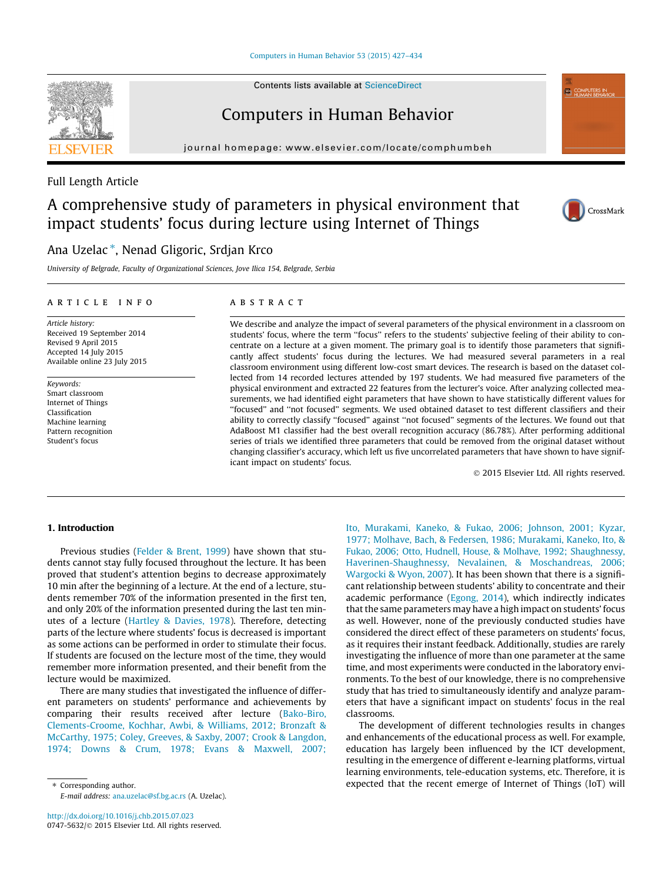[Computers in Human Behavior 53 \(2015\) 427–434](http://dx.doi.org/10.1016/j.chb.2015.07.023)

Contents lists available at [ScienceDirect](http://www.sciencedirect.com/science/journal/07475632)

# Computers in Human Behavior

journal homepage: [www.elsevier.com/locate/comphumbeh](http://www.elsevier.com/locate/comphumbeh)

# Full Length Article

# A comprehensive study of parameters in physical environment that impact students' focus during lecture using Internet of Things

# Ana Uzelac \*, Nenad Gligoric, Srdjan Krco

University of Belgrade, Faculty of Organizational Sciences, Jove Ilica 154, Belgrade, Serbia

## article info

Article history: Received 19 September 2014 Revised 9 April 2015 Accepted 14 July 2015 Available online 23 July 2015

Keywords: Smart classroom Internet of Things Classification Machine learning Pattern recognition Student's focus

## ABSTRACT

We describe and analyze the impact of several parameters of the physical environment in a classroom on students' focus, where the term ''focus'' refers to the students' subjective feeling of their ability to concentrate on a lecture at a given moment. The primary goal is to identify those parameters that significantly affect students' focus during the lectures. We had measured several parameters in a real classroom environment using different low-cost smart devices. The research is based on the dataset collected from 14 recorded lectures attended by 197 students. We had measured five parameters of the physical environment and extracted 22 features from the lecturer's voice. After analyzing collected measurements, we had identified eight parameters that have shown to have statistically different values for ''focused'' and ''not focused'' segments. We used obtained dataset to test different classifiers and their ability to correctly classify ''focused'' against ''not focused'' segments of the lectures. We found out that AdaBoost M1 classifier had the best overall recognition accuracy (86.78%). After performing additional series of trials we identified three parameters that could be removed from the original dataset without changing classifier's accuracy, which left us five uncorrelated parameters that have shown to have significant impact on students' focus.

- 2015 Elsevier Ltd. All rights reserved.

# 1. Introduction

Previous studies [\(Felder & Brent, 1999\)](#page-6-0) have shown that students cannot stay fully focused throughout the lecture. It has been proved that student's attention begins to decrease approximately 10 min after the beginning of a lecture. At the end of a lecture, students remember 70% of the information presented in the first ten, and only 20% of the information presented during the last ten minutes of a lecture [\(Hartley & Davies, 1978](#page-6-0)). Therefore, detecting parts of the lecture where students' focus is decreased is important as some actions can be performed in order to stimulate their focus. If students are focused on the lecture most of the time, they would remember more information presented, and their benefit from the lecture would be maximized.

There are many studies that investigated the influence of different parameters on students' performance and achievements by comparing their results received after lecture ([Bako-Biro,](#page-6-0) [Clements-Croome, Kochhar, Awbi, & Williams, 2012; Bronzaft &](#page-6-0) [McCarthy, 1975; Coley, Greeves, & Saxby, 2007; Crook & Langdon,](#page-6-0) [1974; Downs & Crum, 1978; Evans & Maxwell, 2007;](#page-6-0)

⇑ Corresponding author. E-mail address: [ana.uzelac@sf.bg.ac.rs](mailto:ana.uzelac@sf.bg.ac.rs) (A. Uzelac). [Ito, Murakami, Kaneko, & Fukao, 2006; Johnson, 2001; Kyzar,](#page-6-0) [1977; Molhave, Bach, & Federsen, 1986; Murakami, Kaneko, Ito, &](#page-6-0) [Fukao, 2006; Otto, Hudnell, House, & Molhave, 1992; Shaughnessy,](#page-6-0) [Haverinen-Shaughnessy, Nevalainen, & Moschandreas, 2006;](#page-6-0) [Wargocki & Wyon, 2007](#page-6-0)). It has been shown that there is a significant relationship between students' ability to concentrate and their academic performance ([Egong, 2014](#page-6-0)), which indirectly indicates that the same parameters may have a high impact on students' focus as well. However, none of the previously conducted studies have considered the direct effect of these parameters on students' focus, as it requires their instant feedback. Additionally, studies are rarely investigating the influence of more than one parameter at the same time, and most experiments were conducted in the laboratory environments. To the best of our knowledge, there is no comprehensive study that has tried to simultaneously identify and analyze parameters that have a significant impact on students' focus in the real classrooms.

The development of different technologies results in changes and enhancements of the educational process as well. For example, education has largely been influenced by the ICT development, resulting in the emergence of different e-learning platforms, virtual learning environments, tele-education systems, etc. Therefore, it is expected that the recent emerge of Internet of Things (IoT) will





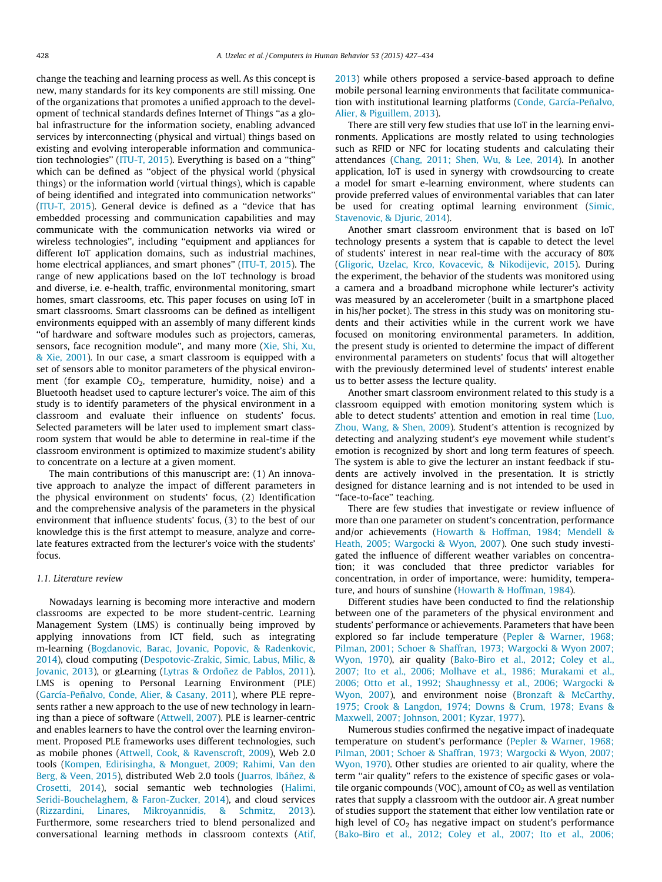change the teaching and learning process as well. As this concept is new, many standards for its key components are still missing. One of the organizations that promotes a unified approach to the development of technical standards defines Internet of Things ''as a global infrastructure for the information society, enabling advanced services by interconnecting (physical and virtual) things based on existing and evolving interoperable information and communication technologies'' ([ITU-T, 2015](#page-6-0)). Everything is based on a ''thing'' which can be defined as ''object of the physical world (physical things) or the information world (virtual things), which is capable of being identified and integrated into communication networks'' ([ITU-T, 2015](#page-6-0)). General device is defined as a ''device that has embedded processing and communication capabilities and may communicate with the communication networks via wired or wireless technologies'', including ''equipment and appliances for different IoT application domains, such as industrial machines, home electrical appliances, and smart phones'' [\(ITU-T, 2015](#page-6-0)). The range of new applications based on the IoT technology is broad and diverse, i.e. e-health, traffic, environmental monitoring, smart homes, smart classrooms, etc. This paper focuses on using IoT in smart classrooms. Smart classrooms can be defined as intelligent environments equipped with an assembly of many different kinds ''of hardware and software modules such as projectors, cameras, sensors, face recognition module'', and many more [\(Xie, Shi, Xu,](#page-7-0) [& Xie, 2001](#page-7-0)). In our case, a smart classroom is equipped with a set of sensors able to monitor parameters of the physical environment (for example  $CO<sub>2</sub>$ , temperature, humidity, noise) and a Bluetooth headset used to capture lecturer's voice. The aim of this study is to identify parameters of the physical environment in a classroom and evaluate their influence on students' focus. Selected parameters will be later used to implement smart classroom system that would be able to determine in real-time if the classroom environment is optimized to maximize student's ability to concentrate on a lecture at a given moment.

The main contributions of this manuscript are: (1) An innovative approach to analyze the impact of different parameters in the physical environment on students' focus, (2) Identification and the comprehensive analysis of the parameters in the physical environment that influence students' focus, (3) to the best of our knowledge this is the first attempt to measure, analyze and correlate features extracted from the lecturer's voice with the students' focus.

#### 1.1. Literature review

Nowadays learning is becoming more interactive and modern classrooms are expected to be more student-centric. Learning Management System (LMS) is continually being improved by applying innovations from ICT field, such as integrating m-learning [\(Bogdanovic, Barac, Jovanic, Popovic, & Radenkovic,](#page-6-0) [2014\)](#page-6-0), cloud computing ([Despotovic-Zrakic, Simic, Labus, Milic, &](#page-6-0) [Jovanic, 2013](#page-6-0)), or gLearning [\(Lytras & Ordoñez de Pablos, 2011\)](#page-6-0). LMS is opening to Personal Learning Environment (PLE) ([García-Peñalvo, Conde, Alier, & Casany, 2011\)](#page-6-0), where PLE represents rather a new approach to the use of new technology in learning than a piece of software ([Attwell, 2007\)](#page-6-0). PLE is learner-centric and enables learners to have the control over the learning environment. Proposed PLE frameworks uses different technologies, such as mobile phones ([Attwell, Cook, & Ravenscroft, 2009\)](#page-6-0), Web 2.0 tools [\(Kompen, Edirisingha, & Monguet, 2009; Rahimi, Van den](#page-6-0) [Berg, & Veen, 2015\)](#page-6-0), distributed Web 2.0 tools ([Juarros, Ibáñez, &](#page-6-0) [Crosetti, 2014\)](#page-6-0), social semantic web technologies ([Halimi,](#page-6-0) [Seridi-Bouchelaghem, & Faron-Zucker, 2014\)](#page-6-0), and cloud services ([Rizzardini, Linares, Mikroyannidis, & Schmitz, 2013\)](#page-7-0). Furthermore, some researchers tried to blend personalized and conversational learning methods in classroom contexts [\(Atif,](#page-6-0) [2013\)](#page-6-0) while others proposed a service-based approach to define mobile personal learning environments that facilitate communication with institutional learning platforms ([Conde, García-Peñalvo,](#page-6-0) [Alier, & Piguillem, 2013\)](#page-6-0).

There are still very few studies that use IoT in the learning environments. Applications are mostly related to using technologies such as RFID or NFC for locating students and calculating their attendances ([Chang, 2011; Shen, Wu, & Lee, 2014](#page-6-0)). In another application, IoT is used in synergy with crowdsourcing to create a model for smart e-learning environment, where students can provide preferred values of environmental variables that can later be used for creating optimal learning environment [\(Simic,](#page-7-0) [Stavenovic, & Djuric, 2014\)](#page-7-0).

Another smart classroom environment that is based on IoT technology presents a system that is capable to detect the level of students' interest in near real-time with the accuracy of 80% ([Gligoric, Uzelac, Krco, Kovacevic, & Nikodijevic, 2015](#page-6-0)). During the experiment, the behavior of the students was monitored using a camera and a broadband microphone while lecturer's activity was measured by an accelerometer (built in a smartphone placed in his/her pocket). The stress in this study was on monitoring students and their activities while in the current work we have focused on monitoring environmental parameters. In addition, the present study is oriented to determine the impact of different environmental parameters on students' focus that will altogether with the previously determined level of students' interest enable us to better assess the lecture quality.

Another smart classroom environment related to this study is a classroom equipped with emotion monitoring system which is able to detect students' attention and emotion in real time [\(Luo,](#page-6-0) [Zhou, Wang, & Shen, 2009\)](#page-6-0). Student's attention is recognized by detecting and analyzing student's eye movement while student's emotion is recognized by short and long term features of speech. The system is able to give the lecturer an instant feedback if students are actively involved in the presentation. It is strictly designed for distance learning and is not intended to be used in ''face-to-face'' teaching.

There are few studies that investigate or review influence of more than one parameter on student's concentration, performance and/or achievements ([Howarth & Hoffman, 1984; Mendell &](#page-6-0) [Heath, 2005; Wargocki & Wyon, 2007](#page-6-0)). One such study investigated the influence of different weather variables on concentration; it was concluded that three predictor variables for concentration, in order of importance, were: humidity, temperature, and hours of sunshine [\(Howarth & Hoffman, 1984\)](#page-6-0).

Different studies have been conducted to find the relationship between one of the parameters of the physical environment and students' performance or achievements. Parameters that have been explored so far include temperature [\(Pepler & Warner, 1968;](#page-7-0) [Pilman, 2001; Schoer & Shaffran, 1973; Wargocki & Wyon 2007;](#page-7-0) [Wyon, 1970\)](#page-7-0), air quality ([Bako-Biro et al., 2012; Coley et al.,](#page-6-0) [2007; Ito et al., 2006; Molhave et al., 1986; Murakami et al.,](#page-6-0) [2006; Otto et al., 1992; Shaughnessy et al., 2006; Wargocki &](#page-6-0) [Wyon, 2007\)](#page-6-0), and environment noise ([Bronzaft & McCarthy,](#page-6-0) [1975; Crook & Langdon, 1974; Downs & Crum, 1978; Evans &](#page-6-0) [Maxwell, 2007; Johnson, 2001; Kyzar, 1977](#page-6-0)).

Numerous studies confirmed the negative impact of inadequate temperature on student's performance [\(Pepler & Warner, 1968;](#page-7-0) [Pilman, 2001; Schoer & Shaffran, 1973; Wargocki & Wyon, 2007;](#page-7-0) [Wyon, 1970\)](#page-7-0). Other studies are oriented to air quality, where the term ''air quality'' refers to the existence of specific gases or volatile organic compounds (VOC), amount of  $CO<sub>2</sub>$  as well as ventilation rates that supply a classroom with the outdoor air. A great number of studies support the statement that either low ventilation rate or high level of  $CO<sub>2</sub>$  has negative impact on student's performance ([Bako-Biro et al., 2012; Coley et al., 2007; Ito et al., 2006;](#page-6-0)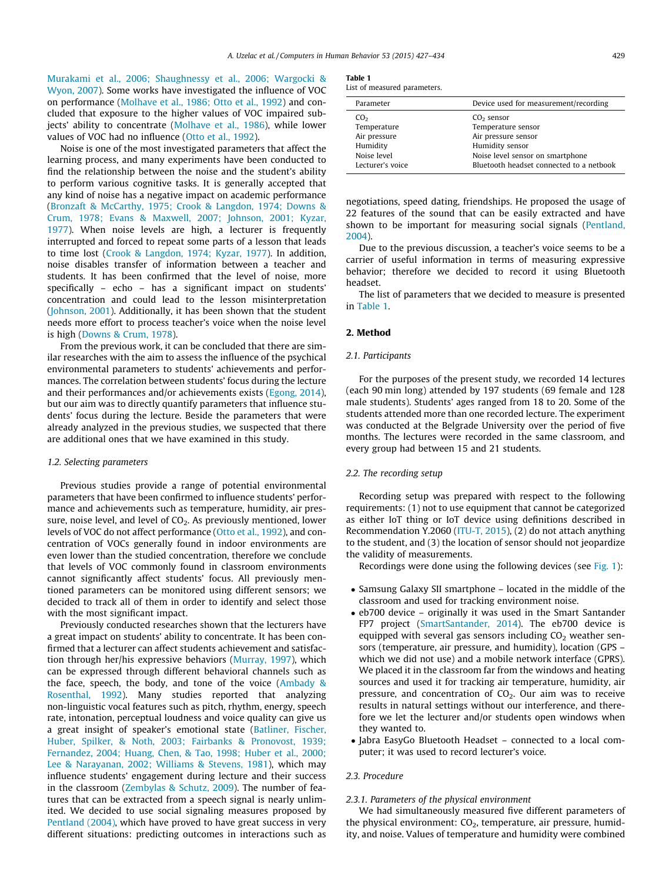[Murakami et al., 2006; Shaughnessy et al., 2006; Wargocki &](#page-6-0) [Wyon, 2007\)](#page-6-0). Some works have investigated the influence of VOC on performance ([Molhave et al., 1986; Otto et al., 1992](#page-6-0)) and concluded that exposure to the higher values of VOC impaired sub-jects' ability to concentrate ([Molhave et al., 1986](#page-6-0)), while lower values of VOC had no influence [\(Otto et al., 1992\)](#page-7-0).

Noise is one of the most investigated parameters that affect the learning process, and many experiments have been conducted to find the relationship between the noise and the student's ability to perform various cognitive tasks. It is generally accepted that any kind of noise has a negative impact on academic performance ([Bronzaft & McCarthy, 1975; Crook & Langdon, 1974; Downs &](#page-6-0) [Crum, 1978; Evans & Maxwell, 2007; Johnson, 2001; Kyzar,](#page-6-0) [1977\)](#page-6-0). When noise levels are high, a lecturer is frequently interrupted and forced to repeat some parts of a lesson that leads to time lost ([Crook & Langdon, 1974; Kyzar, 1977](#page-6-0)). In addition, noise disables transfer of information between a teacher and students. It has been confirmed that the level of noise, more specifically – echo – has a significant impact on students' concentration and could lead to the lesson misinterpretation ([Johnson, 2001](#page-6-0)). Additionally, it has been shown that the student needs more effort to process teacher's voice when the noise level is high ([Downs & Crum, 1978](#page-6-0)).

From the previous work, it can be concluded that there are similar researches with the aim to assess the influence of the psychical environmental parameters to students' achievements and performances. The correlation between students' focus during the lecture and their performances and/or achievements exists [\(Egong, 2014\)](#page-6-0), but our aim was to directly quantify parameters that influence students' focus during the lecture. Beside the parameters that were already analyzed in the previous studies, we suspected that there are additional ones that we have examined in this study.

#### 1.2. Selecting parameters

Previous studies provide a range of potential environmental parameters that have been confirmed to influence students' performance and achievements such as temperature, humidity, air pressure, noise level, and level of  $CO<sub>2</sub>$ . As previously mentioned, lower levels of VOC do not affect performance ([Otto et al., 1992](#page-7-0)), and concentration of VOCs generally found in indoor environments are even lower than the studied concentration, therefore we conclude that levels of VOC commonly found in classroom environments cannot significantly affect students' focus. All previously mentioned parameters can be monitored using different sensors; we decided to track all of them in order to identify and select those with the most significant impact.

Previously conducted researches shown that the lecturers have a great impact on students' ability to concentrate. It has been confirmed that a lecturer can affect students achievement and satisfaction through her/his expressive behaviors ([Murray, 1997](#page-7-0)), which can be expressed through different behavioral channels such as the face, speech, the body, and tone of the voice ([Ambady &](#page-6-0) [Rosenthal, 1992\)](#page-6-0). Many studies reported that analyzing non-linguistic vocal features such as pitch, rhythm, energy, speech rate, intonation, perceptual loudness and voice quality can give us a great insight of speaker's emotional state [\(Batliner, Fischer,](#page-6-0) [Huber, Spilker, & Noth, 2003; Fairbanks & Pronovost, 1939;](#page-6-0) [Fernandez, 2004; Huang, Chen, & Tao, 1998; Huber et al., 2000;](#page-6-0) [Lee & Narayanan, 2002; Williams & Stevens, 1981](#page-6-0)), which may influence students' engagement during lecture and their success in the classroom ([Zembylas & Schutz, 2009](#page-7-0)). The number of features that can be extracted from a speech signal is nearly unlimited. We decided to use social signaling measures proposed by [Pentland \(2004\)](#page-7-0), which have proved to have great success in very different situations: predicting outcomes in interactions such as

#### Table 1

| List of measured parameters. |  |
|------------------------------|--|
|------------------------------|--|

| Parameter                                                                 | Device used for measurement/recording                                                                            |
|---------------------------------------------------------------------------|------------------------------------------------------------------------------------------------------------------|
| CO <sub>2</sub><br>Temperature<br>Air pressure<br>Humidity<br>Noise level | $CO2$ sensor<br>Temperature sensor<br>Air pressure sensor<br>Humidity sensor<br>Noise level sensor on smartphone |
| Lecturer's voice                                                          | Bluetooth headset connected to a netbook                                                                         |

negotiations, speed dating, friendships. He proposed the usage of 22 features of the sound that can be easily extracted and have shown to be important for measuring social signals [\(Pentland,](#page-7-0) [2004](#page-7-0)).

Due to the previous discussion, a teacher's voice seems to be a carrier of useful information in terms of measuring expressive behavior; therefore we decided to record it using Bluetooth headset.

The list of parameters that we decided to measure is presented in Table 1.

#### 2. Method

### 2.1. Participants

For the purposes of the present study, we recorded 14 lectures (each 90 min long) attended by 197 students (69 female and 128 male students). Students' ages ranged from 18 to 20. Some of the students attended more than one recorded lecture. The experiment was conducted at the Belgrade University over the period of five months. The lectures were recorded in the same classroom, and every group had between 15 and 21 students.

### 2.2. The recording setup

Recording setup was prepared with respect to the following requirements: (1) not to use equipment that cannot be categorized as either IoT thing or IoT device using definitions described in Recommendation Y.2060 ([ITU-T, 2015\)](#page-6-0), (2) do not attach anything to the student, and (3) the location of sensor should not jeopardize the validity of measurements.

Recordings were done using the following devices (see [Fig. 1](#page-3-0)):

- Samsung Galaxy SII smartphone located in the middle of the classroom and used for tracking environment noise.
- eb700 device originally it was used in the Smart Santander FP7 project [\(SmartSantander, 2014\)](#page-7-0). The eb700 device is equipped with several gas sensors including  $CO<sub>2</sub>$  weather sensors (temperature, air pressure, and humidity), location (GPS – which we did not use) and a mobile network interface (GPRS). We placed it in the classroom far from the windows and heating sources and used it for tracking air temperature, humidity, air pressure, and concentration of  $CO<sub>2</sub>$ . Our aim was to receive results in natural settings without our interference, and therefore we let the lecturer and/or students open windows when they wanted to.
- Jabra EasyGo Bluetooth Headset connected to a local computer; it was used to record lecturer's voice.

#### 2.3. Procedure

#### 2.3.1. Parameters of the physical environment

We had simultaneously measured five different parameters of the physical environment:  $CO<sub>2</sub>$ , temperature, air pressure, humidity, and noise. Values of temperature and humidity were combined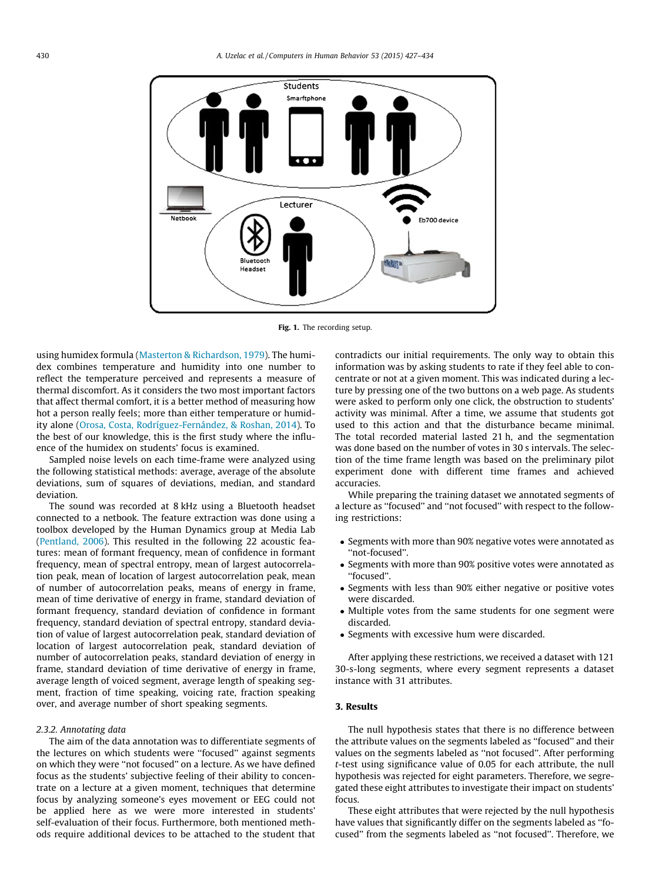<span id="page-3-0"></span>

Fig. 1. The recording setup.

using humidex formula [\(Masterton & Richardson, 1979](#page-6-0)). The humidex combines temperature and humidity into one number to reflect the temperature perceived and represents a measure of thermal discomfort. As it considers the two most important factors that affect thermal comfort, it is a better method of measuring how hot a person really feels; more than either temperature or humidity alone ([Orosa, Costa, Rodríguez-Fernández, & Roshan, 2014\)](#page-7-0). To the best of our knowledge, this is the first study where the influence of the humidex on students' focus is examined.

Sampled noise levels on each time-frame were analyzed using the following statistical methods: average, average of the absolute deviations, sum of squares of deviations, median, and standard deviation.

The sound was recorded at 8 kHz using a Bluetooth headset connected to a netbook. The feature extraction was done using a toolbox developed by the Human Dynamics group at Media Lab ([Pentland, 2006](#page-7-0)). This resulted in the following 22 acoustic features: mean of formant frequency, mean of confidence in formant frequency, mean of spectral entropy, mean of largest autocorrelation peak, mean of location of largest autocorrelation peak, mean of number of autocorrelation peaks, means of energy in frame, mean of time derivative of energy in frame, standard deviation of formant frequency, standard deviation of confidence in formant frequency, standard deviation of spectral entropy, standard deviation of value of largest autocorrelation peak, standard deviation of location of largest autocorrelation peak, standard deviation of number of autocorrelation peaks, standard deviation of energy in frame, standard deviation of time derivative of energy in frame, average length of voiced segment, average length of speaking segment, fraction of time speaking, voicing rate, fraction speaking over, and average number of short speaking segments.

#### 2.3.2. Annotating data

The aim of the data annotation was to differentiate segments of the lectures on which students were ''focused'' against segments on which they were ''not focused'' on a lecture. As we have defined focus as the students' subjective feeling of their ability to concentrate on a lecture at a given moment, techniques that determine focus by analyzing someone's eyes movement or EEG could not be applied here as we were more interested in students' self-evaluation of their focus. Furthermore, both mentioned methods require additional devices to be attached to the student that contradicts our initial requirements. The only way to obtain this information was by asking students to rate if they feel able to concentrate or not at a given moment. This was indicated during a lecture by pressing one of the two buttons on a web page. As students were asked to perform only one click, the obstruction to students' activity was minimal. After a time, we assume that students got used to this action and that the disturbance became minimal. The total recorded material lasted 21 h, and the segmentation was done based on the number of votes in 30 s intervals. The selection of the time frame length was based on the preliminary pilot experiment done with different time frames and achieved accuracies.

While preparing the training dataset we annotated segments of a lecture as ''focused'' and ''not focused'' with respect to the following restrictions:

- Segments with more than 90% negative votes were annotated as ''not-focused''.
- Segments with more than 90% positive votes were annotated as ''focused''.
- Segments with less than 90% either negative or positive votes were discarded.
- Multiple votes from the same students for one segment were discarded.
- Segments with excessive hum were discarded.

After applying these restrictions, we received a dataset with 121 30-s-long segments, where every segment represents a dataset instance with 31 attributes.

# 3. Results

The null hypothesis states that there is no difference between the attribute values on the segments labeled as ''focused'' and their values on the segments labeled as ''not focused''. After performing t-test using significance value of 0.05 for each attribute, the null hypothesis was rejected for eight parameters. Therefore, we segregated these eight attributes to investigate their impact on students' focus.

These eight attributes that were rejected by the null hypothesis have values that significantly differ on the segments labeled as ''focused'' from the segments labeled as ''not focused''. Therefore, we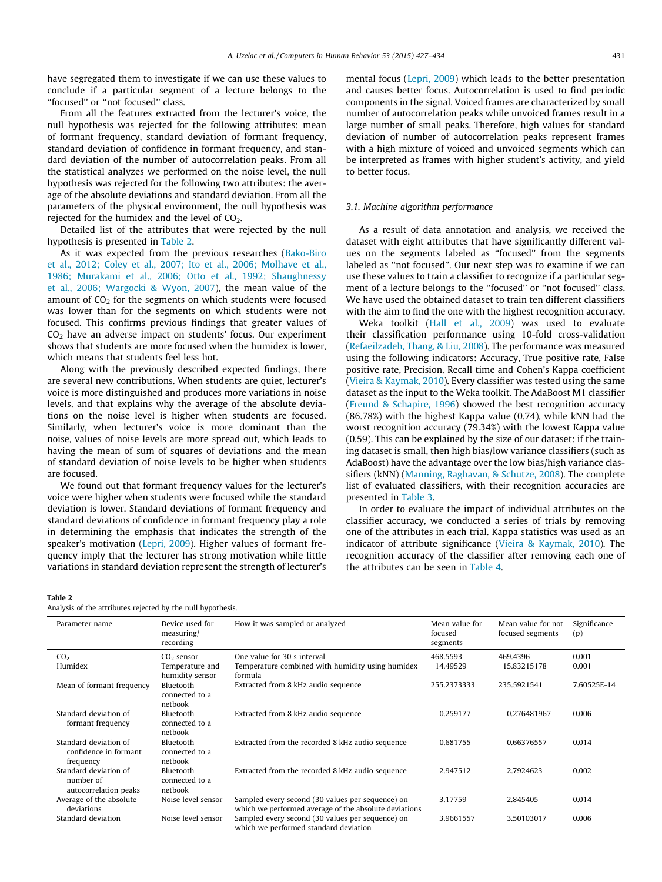have segregated them to investigate if we can use these values to conclude if a particular segment of a lecture belongs to the ''focused'' or ''not focused'' class.

From all the features extracted from the lecturer's voice, the null hypothesis was rejected for the following attributes: mean of formant frequency, standard deviation of formant frequency, standard deviation of confidence in formant frequency, and standard deviation of the number of autocorrelation peaks. From all the statistical analyzes we performed on the noise level, the null hypothesis was rejected for the following two attributes: the average of the absolute deviations and standard deviation. From all the parameters of the physical environment, the null hypothesis was rejected for the humidex and the level of  $CO<sub>2</sub>$ .

Detailed list of the attributes that were rejected by the null hypothesis is presented in Table 2.

As it was expected from the previous researches ([Bako-Biro](#page-6-0) [et al., 2012; Coley et al., 2007; Ito et al., 2006; Molhave et al.,](#page-6-0) [1986; Murakami et al., 2006; Otto et al., 1992; Shaughnessy](#page-6-0) [et al., 2006; Wargocki & Wyon, 2007\)](#page-6-0), the mean value of the amount of  $CO<sub>2</sub>$  for the segments on which students were focused was lower than for the segments on which students were not focused. This confirms previous findings that greater values of  $CO<sub>2</sub>$  have an adverse impact on students' focus. Our experiment shows that students are more focused when the humidex is lower, which means that students feel less hot.

Along with the previously described expected findings, there are several new contributions. When students are quiet, lecturer's voice is more distinguished and produces more variations in noise levels, and that explains why the average of the absolute deviations on the noise level is higher when students are focused. Similarly, when lecturer's voice is more dominant than the noise, values of noise levels are more spread out, which leads to having the mean of sum of squares of deviations and the mean of standard deviation of noise levels to be higher when students are focused.

We found out that formant frequency values for the lecturer's voice were higher when students were focused while the standard deviation is lower. Standard deviations of formant frequency and standard deviations of confidence in formant frequency play a role in determining the emphasis that indicates the strength of the speaker's motivation [\(Lepri, 2009](#page-6-0)). Higher values of formant frequency imply that the lecturer has strong motivation while little variations in standard deviation represent the strength of lecturer's mental focus ([Lepri, 2009](#page-6-0)) which leads to the better presentation and causes better focus. Autocorrelation is used to find periodic components in the signal. Voiced frames are characterized by small number of autocorrelation peaks while unvoiced frames result in a large number of small peaks. Therefore, high values for standard deviation of number of autocorrelation peaks represent frames with a high mixture of voiced and unvoiced segments which can be interpreted as frames with higher student's activity, and yield to better focus.

# 3.1. Machine algorithm performance

As a result of data annotation and analysis, we received the dataset with eight attributes that have significantly different values on the segments labeled as ''focused'' from the segments labeled as ''not focused''. Our next step was to examine if we can use these values to train a classifier to recognize if a particular segment of a lecture belongs to the ''focused'' or ''not focused'' class. We have used the obtained dataset to train ten different classifiers with the aim to find the one with the highest recognition accuracy.

Weka toolkit ([Hall et al., 2009\)](#page-6-0) was used to evaluate their classification performance using 10-fold cross-validation ([Refaeilzadeh, Thang, & Liu, 2008\)](#page-7-0). The performance was measured using the following indicators: Accuracy, True positive rate, False positive rate, Precision, Recall time and Cohen's Kappa coefficient ([Vieira & Kaymak, 2010](#page-7-0)). Every classifier was tested using the same dataset as the input to the Weka toolkit. The AdaBoost M1 classifier ([Freund & Schapire, 1996\)](#page-6-0) showed the best recognition accuracy (86.78%) with the highest Kappa value (0.74), while kNN had the worst recognition accuracy (79.34%) with the lowest Kappa value (0.59). This can be explained by the size of our dataset: if the training dataset is small, then high bias/low variance classifiers (such as AdaBoost) have the advantage over the low bias/high variance classifiers (kNN) ([Manning, Raghavan, & Schutze, 2008\)](#page-6-0). The complete list of evaluated classifiers, with their recognition accuracies are presented in [Table 3](#page-5-0).

In order to evaluate the impact of individual attributes on the classifier accuracy, we conducted a series of trials by removing one of the attributes in each trial. Kappa statistics was used as an indicator of attribute significance [\(Vieira & Kaymak, 2010\)](#page-7-0). The recognition accuracy of the classifier after removing each one of the attributes can be seen in [Table 4.](#page-5-0)

#### Table 2

Analysis of the attributes rejected by the null hypothesis.

| Parameter name                                              | Device used for<br>measuring/<br>recording    | How it was sampled or analyzed                                                                            | Mean value for<br>focused<br>segments | Mean value for not<br>focused segments | Significance<br>(p) |
|-------------------------------------------------------------|-----------------------------------------------|-----------------------------------------------------------------------------------------------------------|---------------------------------------|----------------------------------------|---------------------|
| CO <sub>2</sub>                                             | $CO2$ sensor                                  | One value for 30 s interval                                                                               | 468.5593                              | 469.4396                               | 0.001               |
| Humidex                                                     | Temperature and<br>humidity sensor            | Temperature combined with humidity using humidex<br>formula                                               | 14.49529                              | 15.83215178                            | 0.001               |
| Mean of formant frequency                                   | Bluetooth<br>connected to a<br>netbook        | Extracted from 8 kHz audio sequence                                                                       | 255.2373333                           | 235.5921541                            | 7.60525E-14         |
| Standard deviation of<br>formant frequency                  | <b>Bluetooth</b><br>connected to a<br>netbook | Extracted from 8 kHz audio sequence                                                                       | 0.259177                              | 0.276481967                            | 0.006               |
| Standard deviation of<br>confidence in formant<br>frequency | Bluetooth<br>connected to a<br>netbook        | Extracted from the recorded 8 kHz audio sequence                                                          | 0.681755                              | 0.66376557                             | 0.014               |
| Standard deviation of<br>number of<br>autocorrelation peaks | Bluetooth<br>connected to a<br>netbook        | Extracted from the recorded 8 kHz audio sequence                                                          | 2.947512                              | 2.7924623                              | 0.002               |
| Average of the absolute<br>deviations                       | Noise level sensor                            | Sampled every second (30 values per sequence) on<br>which we performed average of the absolute deviations | 3.17759                               | 2.845405                               | 0.014               |
| Standard deviation                                          | Noise level sensor                            | Sampled every second (30 values per sequence) on<br>which we performed standard deviation                 | 3.9661557                             | 3.50103017                             | 0.006               |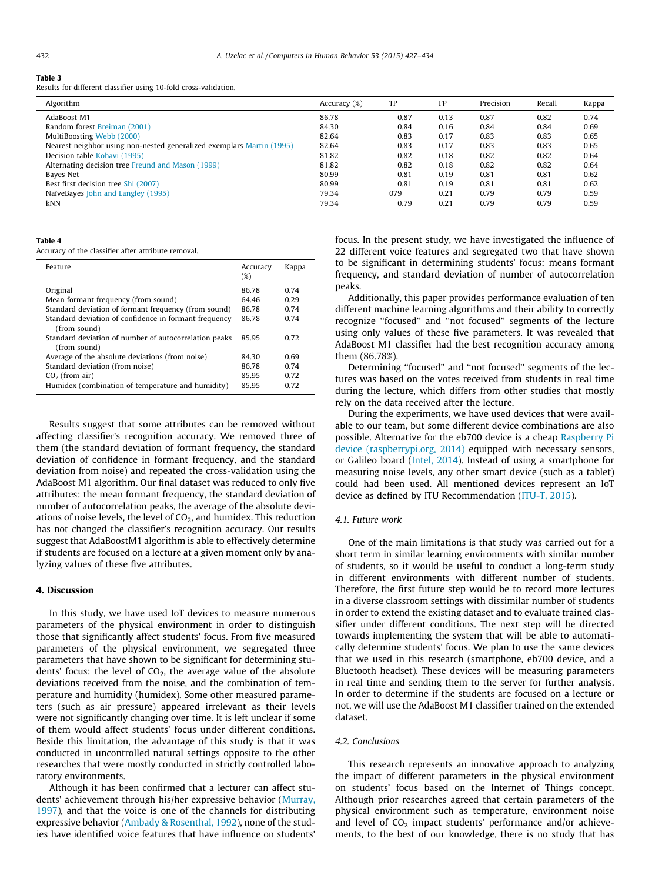#### <span id="page-5-0"></span>Table 3

Results for different classifier using 10-fold cross-validation.

| Algorithm                                                             | Accuracy (%) | TP   | FP   | Precision | Recall | Kappa |
|-----------------------------------------------------------------------|--------------|------|------|-----------|--------|-------|
| AdaBoost M1                                                           | 86.78        | 0.87 | 0.13 | 0.87      | 0.82   | 0.74  |
| Random forest Breiman (2001)                                          | 84.30        | 0.84 | 0.16 | 0.84      | 0.84   | 0.69  |
| MultiBoosting Webb (2000)                                             | 82.64        | 0.83 | 0.17 | 0.83      | 0.83   | 0.65  |
| Nearest neighbor using non-nested generalized exemplars Martin (1995) | 82.64        | 0.83 | 0.17 | 0.83      | 0.83   | 0.65  |
| Decision table Kohavi (1995)                                          | 81.82        | 0.82 | 0.18 | 0.82      | 0.82   | 0.64  |
| Alternating decision tree Freund and Mason (1999)                     | 81.82        | 0.82 | 0.18 | 0.82      | 0.82   | 0.64  |
| Baves Net                                                             | 80.99        | 0.81 | 0.19 | 0.81      | 0.81   | 0.62  |
| Best first decision tree Shi (2007)                                   | 80.99        | 0.81 | 0.19 | 0.81      | 0.81   | 0.62  |
| NaïveBayes John and Langley (1995)                                    | 79.34        | 079  | 0.21 | 0.79      | 0.79   | 0.59  |
| kNN                                                                   | 79.34        | 0.79 | 0.21 | 0.79      | 0.79   | 0.59  |

#### Table 4

Accuracy of the classifier after attribute removal.

| Feature                                                               | Accuracy<br>(%) | Kappa |
|-----------------------------------------------------------------------|-----------------|-------|
| Original                                                              | 86.78           | 0.74  |
| Mean formant frequency (from sound)                                   | 64.46           | 0.29  |
| Standard deviation of formant frequency (from sound)                  | 86.78           | 0.74  |
| Standard deviation of confidence in formant frequency<br>(from sound) | 86.78           | 0.74  |
| Standard deviation of number of autocorrelation peaks<br>(from sound) | 85.95           | 0.72  |
| Average of the absolute deviations (from noise)                       | 84.30           | 0.69  |
| Standard deviation (from noise)                                       | 86.78           | 0.74  |
| $CO2$ (from air)                                                      | 85.95           | 0.72  |
| Humidex (combination of temperature and humidity)                     | 8595            | 0.72  |

Results suggest that some attributes can be removed without affecting classifier's recognition accuracy. We removed three of them (the standard deviation of formant frequency, the standard deviation of confidence in formant frequency, and the standard deviation from noise) and repeated the cross-validation using the AdaBoost M1 algorithm. Our final dataset was reduced to only five attributes: the mean formant frequency, the standard deviation of number of autocorrelation peaks, the average of the absolute deviations of noise levels, the level of  $CO<sub>2</sub>$ , and humidex. This reduction has not changed the classifier's recognition accuracy. Our results suggest that AdaBoostM1 algorithm is able to effectively determine if students are focused on a lecture at a given moment only by analyzing values of these five attributes.

#### 4. Discussion

In this study, we have used IoT devices to measure numerous parameters of the physical environment in order to distinguish those that significantly affect students' focus. From five measured parameters of the physical environment, we segregated three parameters that have shown to be significant for determining students' focus: the level of  $CO<sub>2</sub>$ , the average value of the absolute deviations received from the noise, and the combination of temperature and humidity (humidex). Some other measured parameters (such as air pressure) appeared irrelevant as their levels were not significantly changing over time. It is left unclear if some of them would affect students' focus under different conditions. Beside this limitation, the advantage of this study is that it was conducted in uncontrolled natural settings opposite to the other researches that were mostly conducted in strictly controlled laboratory environments.

Although it has been confirmed that a lecturer can affect students' achievement through his/her expressive behavior ([Murray,](#page-7-0) [1997\)](#page-7-0), and that the voice is one of the channels for distributing expressive behavior [\(Ambady & Rosenthal, 1992](#page-6-0)), none of the studies have identified voice features that have influence on students'

focus. In the present study, we have investigated the influence of 22 different voice features and segregated two that have shown to be significant in determining students' focus: means formant frequency, and standard deviation of number of autocorrelation peaks.

Additionally, this paper provides performance evaluation of ten different machine learning algorithms and their ability to correctly recognize ''focused'' and ''not focused'' segments of the lecture using only values of these five parameters. It was revealed that AdaBoost M1 classifier had the best recognition accuracy among them (86.78%).

Determining ''focused'' and ''not focused'' segments of the lectures was based on the votes received from students in real time during the lecture, which differs from other studies that mostly rely on the data received after the lecture.

During the experiments, we have used devices that were available to our team, but some different device combinations are also possible. Alternative for the eb700 device is a cheap [Raspberry Pi](#page-7-0) [device \(raspberrypi.org, 2014\)](#page-7-0) equipped with necessary sensors, or Galileo board ([Intel, 2014](#page-6-0)). Instead of using a smartphone for measuring noise levels, any other smart device (such as a tablet) could had been used. All mentioned devices represent an IoT device as defined by ITU Recommendation ([ITU-T, 2015](#page-6-0)).

#### 4.1. Future work

One of the main limitations is that study was carried out for a short term in similar learning environments with similar number of students, so it would be useful to conduct a long-term study in different environments with different number of students. Therefore, the first future step would be to record more lectures in a diverse classroom settings with dissimilar number of students in order to extend the existing dataset and to evaluate trained classifier under different conditions. The next step will be directed towards implementing the system that will be able to automatically determine students' focus. We plan to use the same devices that we used in this research (smartphone, eb700 device, and a Bluetooth headset). These devices will be measuring parameters in real time and sending them to the server for further analysis. In order to determine if the students are focused on a lecture or not, we will use the AdaBoost M1 classifier trained on the extended dataset.

#### 4.2. Conclusions

This research represents an innovative approach to analyzing the impact of different parameters in the physical environment on students' focus based on the Internet of Things concept. Although prior researches agreed that certain parameters of the physical environment such as temperature, environment noise and level of  $CO<sub>2</sub>$  impact students' performance and/or achievements, to the best of our knowledge, there is no study that has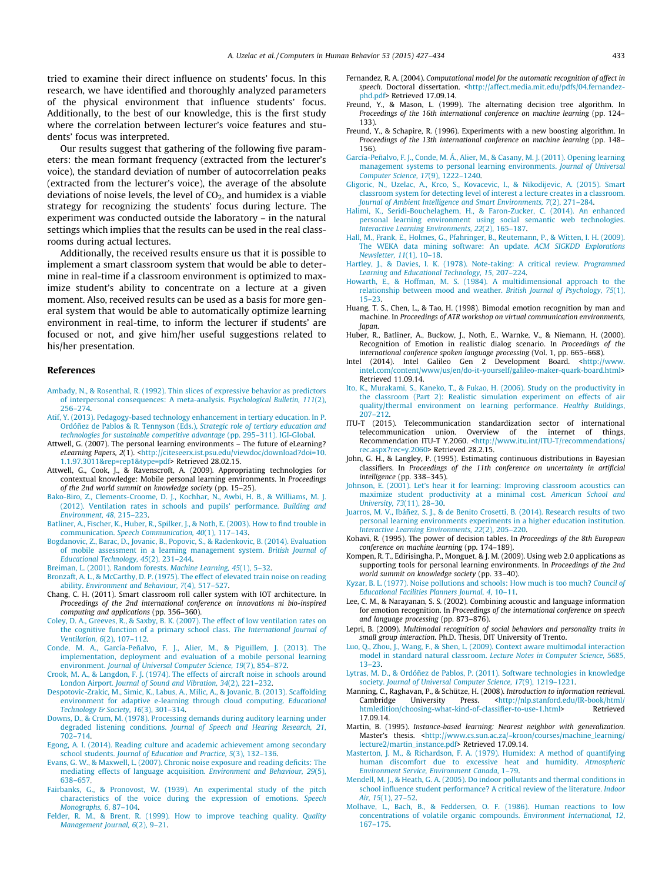<span id="page-6-0"></span>tried to examine their direct influence on students' focus. In this research, we have identified and thoroughly analyzed parameters of the physical environment that influence students' focus. Additionally, to the best of our knowledge, this is the first study where the correlation between lecturer's voice features and students' focus was interpreted.

Our results suggest that gathering of the following five parameters: the mean formant frequency (extracted from the lecturer's voice), the standard deviation of number of autocorrelation peaks (extracted from the lecturer's voice), the average of the absolute deviations of noise levels, the level of  $CO<sub>2</sub>$ , and humidex is a viable strategy for recognizing the students' focus during lecture. The experiment was conducted outside the laboratory – in the natural settings which implies that the results can be used in the real classrooms during actual lectures.

Additionally, the received results ensure us that it is possible to implement a smart classroom system that would be able to determine in real-time if a classroom environment is optimized to maximize student's ability to concentrate on a lecture at a given moment. Also, received results can be used as a basis for more general system that would be able to automatically optimize learning environment in real-time, to inform the lecturer if students' are focused or not, and give him/her useful suggestions related to his/her presentation.

#### References

- [Ambady, N., & Rosenthal, R. \(1992\). Thin slices of expressive behavior as predictors](http://refhub.elsevier.com/S0747-5632(15)30034-0/h0005) [of interpersonal consequences: A meta-analysis.](http://refhub.elsevier.com/S0747-5632(15)30034-0/h0005) Psychological Bulletin, 111(2), [256–274](http://refhub.elsevier.com/S0747-5632(15)30034-0/h0005).
- [Atif, Y. \(2013\). Pedagogy-based technology enhancement in tertiary education. In P.](http://refhub.elsevier.com/S0747-5632(15)30034-0/h0010) [Ordóñez de Pablos & R. Tennyson \(Eds.\),](http://refhub.elsevier.com/S0747-5632(15)30034-0/h0010) Strategic role of tertiary education and [technologies for sustainable competitive advantage](http://refhub.elsevier.com/S0747-5632(15)30034-0/h0010) (pp. 295–311). IGI-Global.
- Attwell, G. (2007). The personal learning environments The future of eLearning? eLearning Papers, 2(1). [<http://citeseerx.ist.psu.edu/viewdoc/download?doi=10.](http://citeseerx.ist.psu.edu/viewdoc/download?doi=10.1.1.97.3011%26rep=rep1%26type=pdf) [1.1.97.3011&rep=rep1&type=pdf](http://citeseerx.ist.psu.edu/viewdoc/download?doi=10.1.1.97.3011%26rep=rep1%26type=pdf)> Retrieved 28.02.15.
- Attwell, G., Cook, J., & Ravenscroft, A. (2009). Appropriating technologies for contextual knowledge: Mobile personal learning environments. In Proceedings of the 2nd world summit on knowledge society (pp. 15–25).
- [Bako-Biro, Z., Clements-Croome, D. J., Kochhar, N., Awbi, H. B., & Williams, M. J.](http://refhub.elsevier.com/S0747-5632(15)30034-0/h0025) [\(2012\). Ventilation rates in schools and pupils' performance.](http://refhub.elsevier.com/S0747-5632(15)30034-0/h0025) Building and [Environment, 48](http://refhub.elsevier.com/S0747-5632(15)30034-0/h0025), 215–223.
- [Batliner, A., Fischer, K., Huber, R., Spilker, J., & Noth, E. \(2003\). How to find trouble in](http://refhub.elsevier.com/S0747-5632(15)30034-0/h0030) communication. [Speech Communication, 40](http://refhub.elsevier.com/S0747-5632(15)30034-0/h0030)(1), 117–143.
- [Bogdanovic, Z., Barac, D., Jovanic, B., Popovic, S., & Radenkovic, B. \(2014\). Evaluation](http://refhub.elsevier.com/S0747-5632(15)30034-0/h0035) [of mobile assessment in a learning management system.](http://refhub.elsevier.com/S0747-5632(15)30034-0/h0035) British Journal of [Educational Technology, 45](http://refhub.elsevier.com/S0747-5632(15)30034-0/h0035)(2), 231–244.
- [Breiman, L. \(2001\). Random forests.](http://refhub.elsevier.com/S0747-5632(15)30034-0/h0040) Machine Learning, 45(1), 5–32.
- [Bronzaft, A. L., & McCarthy, D. P. \(1975\). The effect of elevated train noise on reading](http://refhub.elsevier.com/S0747-5632(15)30034-0/h0045) ability. [Environment and Behaviour, 7](http://refhub.elsevier.com/S0747-5632(15)30034-0/h0045)(4), 517–527.
- Chang, C. H. (2011). Smart classroom roll caller system with IOT architecture. In Proceedings of the 2nd international conference on innovations ni bio-inspired computing and applications (pp. 356–360).
- [Coley, D. A., Greeves, R., & Saxby, B. K. \(2007\). The effect of low ventilation rates on](http://refhub.elsevier.com/S0747-5632(15)30034-0/h0055) [the cognitive function of a primary school class.](http://refhub.elsevier.com/S0747-5632(15)30034-0/h0055) The International Journal of [Ventilation, 6](http://refhub.elsevier.com/S0747-5632(15)30034-0/h0055)(2), 107–112.
- [Conde, M. A., García-Peñalvo, F. J., Alier, M., & Piguillem, J. \(2013\). The](http://refhub.elsevier.com/S0747-5632(15)30034-0/h0060) [implementation, deployment and evaluation of a mobile personal learning](http://refhub.elsevier.com/S0747-5632(15)30034-0/h0060) environment. [Journal of Universal Computer Science, 19](http://refhub.elsevier.com/S0747-5632(15)30034-0/h0060)(7), 854–872.
- [Crook, M. A., & Langdon, F. J. \(1974\). The effects of aircraft noise in schools around](http://refhub.elsevier.com/S0747-5632(15)30034-0/h0065) London Airport. [Journal of Sound and Vibration, 34](http://refhub.elsevier.com/S0747-5632(15)30034-0/h0065)(2), 221–232.
- [Despotovic-Zrakic, M., Simic, K., Labus, A., Milic, A., & Jovanic, B. \(2013\). Scaffolding](http://refhub.elsevier.com/S0747-5632(15)30034-0/h0070) [environment for adaptive e-learning through cloud computing.](http://refhub.elsevier.com/S0747-5632(15)30034-0/h0070) *Educational*<br>[Technology & Society, 16](http://refhub.elsevier.com/S0747-5632(15)30034-0/h0070)(3), 301–314.
- [Downs, D., & Crum, M. \(1978\). Processing demands during auditory learning under](http://refhub.elsevier.com/S0747-5632(15)30034-0/h0075) degraded listening conditions. [Journal of Speech and Hearing Research, 21](http://refhub.elsevier.com/S0747-5632(15)30034-0/h0075), [702–714](http://refhub.elsevier.com/S0747-5632(15)30034-0/h0075).
- [Egong, A. I. \(2014\). Reading culture and academic achievement among secondary](http://refhub.elsevier.com/S0747-5632(15)30034-0/h0080) school students. [Journal of Education and Practice, 5](http://refhub.elsevier.com/S0747-5632(15)30034-0/h0080)(3), 132–136.
- [Evans, G. W., & Maxwell, L. \(2007\). Chronic noise exposure and reading deficits: The](http://refhub.elsevier.com/S0747-5632(15)30034-0/h0085) [mediating effects of language acquisition.](http://refhub.elsevier.com/S0747-5632(15)30034-0/h0085) Environment and Behaviour, 29(5), [638–657](http://refhub.elsevier.com/S0747-5632(15)30034-0/h0085).
- [Fairbanks, G., & Pronovost, W. \(1939\). An experimental study of the pitch](http://refhub.elsevier.com/S0747-5632(15)30034-0/h0090) [characteristics of the voice during the expression of emotions.](http://refhub.elsevier.com/S0747-5632(15)30034-0/h0090) Speech [Monographs, 6](http://refhub.elsevier.com/S0747-5632(15)30034-0/h0090), 87–104.
- [Felder, R. M., & Brent, R. \(1999\). How to improve teaching quality.](http://refhub.elsevier.com/S0747-5632(15)30034-0/h0095) Quality [Management Journal, 6](http://refhub.elsevier.com/S0747-5632(15)30034-0/h0095)(2), 9–21.
- Fernandez, R. A. (2004). Computational model for the automatic recognition of affect in speech. Doctoral dissertation. [<http://affect.media.mit.edu/pdfs/04.fernandez](http://affect.media.mit.edu/pdfs/04.fernandez-phd.pdf)[phd.pdf>](http://affect.media.mit.edu/pdfs/04.fernandez-phd.pdf) Retrieved 17.09.14.
- Freund, Y., & Mason, L. (1999). The alternating decision tree algorithm. In Proceedings of the 16th international conference on machine learning (pp. 124– 133).
- Freund, Y., & Schapire, R. (1996). Experiments with a new boosting algorithm. In Proceedings of the 13th international conference on machine learning (pp. 148– 156).
- [García-Peñalvo, F. J., Conde, M. Á., Alier, M., & Casany, M. J. \(2011\). Opening learning](http://refhub.elsevier.com/S0747-5632(15)30034-0/h0115) [management systems to personal learning environments.](http://refhub.elsevier.com/S0747-5632(15)30034-0/h0115) Journal of Universal [Computer Science, 17](http://refhub.elsevier.com/S0747-5632(15)30034-0/h0115)(9), 1222–1240.
- [Gligoric, N., Uzelac, A., Krco, S., Kovacevic, I., & Nikodijevic, A. \(2015\). Smart](http://refhub.elsevier.com/S0747-5632(15)30034-0/h0120) [classroom system for detecting level of interest a lecture creates in a classroom.](http://refhub.elsevier.com/S0747-5632(15)30034-0/h0120) [Journal of Ambient Intelligence and Smart Environments, 7](http://refhub.elsevier.com/S0747-5632(15)30034-0/h0120)(2), 271–284.
- [Halimi, K., Seridi-Bouchelaghem, H., & Faron-Zucker, C. \(2014\). An enhanced](http://refhub.elsevier.com/S0747-5632(15)30034-0/h0125) [personal learning environment using social semantic web technologies.](http://refhub.elsevier.com/S0747-5632(15)30034-0/h0125) [Interactive Learning Environments, 22](http://refhub.elsevier.com/S0747-5632(15)30034-0/h0125)(2), 165–187.
- [Hall, M., Frank, E., Holmes, G., Pfahringer, B., Reutemann, P., & Witten, I. H. \(2009\).](http://refhub.elsevier.com/S0747-5632(15)30034-0/h0130) [The WEKA data mining software: An update.](http://refhub.elsevier.com/S0747-5632(15)30034-0/h0130) ACM SIGKDD Explorations [Newsletter, 11](http://refhub.elsevier.com/S0747-5632(15)30034-0/h0130)(1), 10–18.
- [Hartley, J., & Davies, I. K. \(1978\). Note-taking: A critical review.](http://refhub.elsevier.com/S0747-5632(15)30034-0/h0135) Programmed [Learning and Educational Technology, 15](http://refhub.elsevier.com/S0747-5632(15)30034-0/h0135), 207–224.
- [Howarth, E., & Hoffman, M. S. \(1984\). A multidimensional approach to the](http://refhub.elsevier.com/S0747-5632(15)30034-0/h0140) [relationship between mood and weather.](http://refhub.elsevier.com/S0747-5632(15)30034-0/h0140) British Journal of Psychology, 75(1), [15–23.](http://refhub.elsevier.com/S0747-5632(15)30034-0/h0140)
- Huang, T. S., Chen, L., & Tao, H. (1998). Bimodal emotion recognition by man and machine. In Proceedings of ATR workshop on virtual communication environments, Japan.
- Huber, R., Batliner, A., Buckow, J., Noth, E., Warnke, V., & Niemann, H. (2000). Recognition of Emotion in realistic dialog scenario. In Proceedings of the international conference spoken language processing (Vol. 1, pp. 665–668).
- Intel (2014). Intel Galileo Gen 2 Development Board. <[http://www.](http://www.intel.com/content/www/us/en/do-it-yourself/galileo-maker-quark-board.html) [intel.com/content/www/us/en/do-it-yourself/galileo-maker-quark-board.html>](http://www.intel.com/content/www/us/en/do-it-yourself/galileo-maker-quark-board.html) Retrieved 11.09.14.
- [Ito, K., Murakami, S., Kaneko, T., & Fukao, H. \(2006\). Study on the productivity in](http://refhub.elsevier.com/S0747-5632(15)30034-0/h0160) [the classroom \(Part 2\): Realistic simulation experiment on effects of air](http://refhub.elsevier.com/S0747-5632(15)30034-0/h0160) [quality/thermal environment on learning performance.](http://refhub.elsevier.com/S0747-5632(15)30034-0/h0160) Healthy Buildings, [207–212](http://refhub.elsevier.com/S0747-5632(15)30034-0/h0160).
- ITU-T (2015). Telecommunication standardization sector of international telecommunication union. Overview of the internet of things, Recommendation ITU-T Y.2060. <[http://www.itu.int/ITU-T/recommendations/](http://www.itu.int/ITU-T/recommendations/rec.aspx?rec=y.2060) [rec.aspx?rec=y.2060>](http://www.itu.int/ITU-T/recommendations/rec.aspx?rec=y.2060) Retrieved 28.2.15.
- John, G. H., & Langley, P. (1995). Estimating continuous distributions in Bayesian classifiers. In Proceedings of the 11th conference on uncertainty in artificial intelligence (pp. 338–345).
- [Johnson, E. \(2001\). Let's hear it for learning: Improving classroom acoustics can](http://refhub.elsevier.com/S0747-5632(15)30034-0/h0175) [maximize student productivity at a minimal cost.](http://refhub.elsevier.com/S0747-5632(15)30034-0/h0175) American School and [University, 73](http://refhub.elsevier.com/S0747-5632(15)30034-0/h0175)(11), 28–30.
- [Juarros, M. V., Ibáñez, S. J., & de Benito Crosetti, B. \(2014\). Research results of two](http://refhub.elsevier.com/S0747-5632(15)30034-0/h0180) [personal learning environments experiments in a higher education institution.](http://refhub.elsevier.com/S0747-5632(15)30034-0/h0180) [Interactive Learning Environments, 22](http://refhub.elsevier.com/S0747-5632(15)30034-0/h0180)(2), 205–220.
- Kohavi, R. (1995). The power of decision tables. In Proceedings of the 8th European conference on machine learning (pp. 174–189).
- Kompen, R. T., Edirisingha, P., Monguet, & J. M. (2009). Using web 2.0 applications as supporting tools for personal learning environments. In Proceedings of the 2nd world summit on knowledge society (pp. 33–40).
- [Kyzar, B. L. \(1977\). Noise pollutions and schools: How much is too much?](http://refhub.elsevier.com/S0747-5632(15)30034-0/h0195) Council of [Educational Facilities Planners Journal, 4](http://refhub.elsevier.com/S0747-5632(15)30034-0/h0195), 10–11.
- Lee, C. M., & Narayanan, S. S. (2002). Combining acoustic and language information for emotion recognition. In Proceedings of the international conference on speech and language processing (pp. 873–876).
- Lepri, B. (2009). Multimodal recognition of social behaviors and personality traits in small group interaction. Ph.D. Thesis, DIT University of Trento.
- [Luo, Q., Zhou, J., Wang, F., & Shen, L. \(2009\). Context aware multimodal interaction](http://refhub.elsevier.com/S0747-5632(15)30034-0/h0210) model in standard natural classroom. [Lecture Notes in Computer Science, 5685](http://refhub.elsevier.com/S0747-5632(15)30034-0/h0210), [13–23.](http://refhub.elsevier.com/S0747-5632(15)30034-0/h0210)
- [Lytras, M. D., & Ordóñez de Pablos, P. \(2011\). Software technologies in knowledge](http://refhub.elsevier.com/S0747-5632(15)30034-0/h0215) society. [Journal of Universal Computer Science, 17](http://refhub.elsevier.com/S0747-5632(15)30034-0/h0215)(9), 1219–1221.
- Manning, C., Raghavan, P., & Schütze, H. (2008). *Introduction to information retrieval*.<br>Cambridge University Press. <http://nlp.stanford.edu/IR-book/html/ Cambridge University Press. <http://nlp.stanford.edu/IR-book/html [htmledition/choosing-what-kind-of-classifier-to-use-1.html>](http://nlp.stanford.edu/IR-book/html/htmledition/choosing-what-kind-of-classifier-to-use-1.html) Retrieved 17.09.14.
- Martin, B. (1995). Instance-based learning: Nearest neighbor with generalization. Master's thesis. <[http://www.cs.sun.ac.za/~kroon/courses/machine\\_learning/](http://www.cs.sun.ac.za/~kroon/courses/machine_learning/lecture2/martin_instance.pdf) [lecture2/martin\\_instance.pdf](http://www.cs.sun.ac.za/~kroon/courses/machine_learning/lecture2/martin_instance.pdf)> Retrieved 17.09.14.
- [Masterton, J. M., & Richardson, F. A. \(1979\). Humidex: A method of quantifying](http://refhub.elsevier.com/S0747-5632(15)30034-0/h0230) [human discomfort due to excessive heat and humidity.](http://refhub.elsevier.com/S0747-5632(15)30034-0/h0230) Atmospheric [Environment Service, Environment Canada](http://refhub.elsevier.com/S0747-5632(15)30034-0/h0230), 1–79.
- [Mendell, M. J., & Heath, G. A. \(2005\). Do indoor pollutants and thermal conditions in](http://refhub.elsevier.com/S0747-5632(15)30034-0/h0235) [school influence student performance? A critical review of the literature.](http://refhub.elsevier.com/S0747-5632(15)30034-0/h0235) Indoor Air, 15[\(1\), 27–52](http://refhub.elsevier.com/S0747-5632(15)30034-0/h0235).
- [Molhave, L., Bach, B., & Feddersen, O. F. \(1986\). Human reactions to low](http://refhub.elsevier.com/S0747-5632(15)30034-0/h0240) [concentrations of volatile organic compounds.](http://refhub.elsevier.com/S0747-5632(15)30034-0/h0240) Environment International, 12, [167–175](http://refhub.elsevier.com/S0747-5632(15)30034-0/h0240).